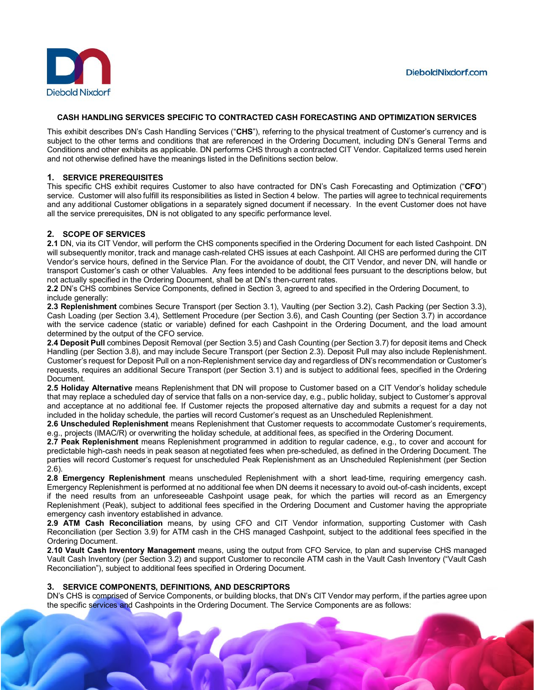

# **CASH HANDLING SERVICES SPECIFIC TO CONTRACTED CASH FORECASTING AND OPTIMIZATION SERVICES**

This exhibit describes DN's Cash Handling Services ("**CHS**"), referring to the physical treatment of Customer's currency and is subject to the other terms and conditions that are referenced in the Ordering Document, including DN's General Terms and Conditions and other exhibits as applicable. DN performs CHS through a contracted CIT Vendor. Capitalized terms used herein and not otherwise defined have the meanings listed in the Definitions section below.

## **1. SERVICE PREREQUISITES**

This specific CHS exhibit requires Customer to also have contracted for DN's Cash Forecasting and Optimization ("**CFO**") service.Customer will also fulfill its responsibilities as listed in Section 4 below. The parties will agree to technical requirements and any additional Customer obligations in a separately signed document if necessary. In the event Customer does not have all the service prerequisites, DN is not obligated to any specific performance level.

## **2. SCOPE OF SERVICES**

**2.1** DN, via its CIT Vendor, will perform the CHS components specified in the Ordering Document for each listed Cashpoint. DN will subsequently monitor, track and manage cash-related CHS issues at each Cashpoint. All CHS are performed during the CIT Vendor's service hours, defined in the Service Plan. For the avoidance of doubt, the CIT Vendor, and never DN, will handle or transport Customer's cash or other Valuables. Any fees intended to be additional fees pursuant to the descriptions below, but not actually specified in the Ordering Document, shall be at DN's then-current rates.

**2.2** DN's CHS combines Service Components, defined in Section 3, agreed to and specified in the Ordering Document, to include generally:

**2.3 Replenishment** combines Secure Transport (per Section 3.1), Vaulting (per Section 3.2), Cash Packing (per Section 3.3), Cash Loading (per Section 3.4), Settlement Procedure (per Section 3.6), and Cash Counting (per Section 3.7) in accordance with the service cadence (static or variable) defined for each Cashpoint in the Ordering Document, and the load amount determined by the output of the CFO service.

**2.4 Deposit Pull** combines Deposit Removal (per Section 3.5) and Cash Counting (per Section 3.7) for deposit items and Check Handling (per Section 3.8), and may include Secure Transport (per Section 2.3). Deposit Pull may also include Replenishment. Customer's request for Deposit Pull on a non-Replenishment service day and regardless of DN's recommendation or Customer's requests, requires an additional Secure Transport (per Section 3.1) and is subject to additional fees, specified in the Ordering Document.

**2.5 Holiday Alternative** means Replenishment that DN will propose to Customer based on a CIT Vendor's holiday schedule that may replace a scheduled day of service that falls on a non-service day, e.g., public holiday, subject to Customer's approval and acceptance at no additional fee. If Customer rejects the proposed alternative day and submits a request for a day not included in the holiday schedule, the parties will record Customer's request as an Unscheduled Replenishment.

**2.6 Unscheduled Replenishment** means Replenishment that Customer requests to accommodate Customer's requirements, e.g., projects (IMAC/R) or overwriting the holiday schedule, at additional fees, as specified in the Ordering Document.

**2.7 Peak Replenishment** means Replenishment programmed in addition to regular cadence, e.g., to cover and account for predictable high-cash needs in peak season at negotiated fees when pre-scheduled, as defined in the Ordering Document. The parties will record Customer's request for unscheduled Peak Replenishment as an Unscheduled Replenishment (per Section 2.6).

**2.8 Emergency Replenishment** means unscheduled Replenishment with a short lead-time, requiring emergency cash. Emergency Replenishment is performed at no additional fee when DN deems it necessary to avoid out-of-cash incidents, except if the need results from an unforeseeable Cashpoint usage peak, for which the parties will record as an Emergency Replenishment (Peak), subject to additional fees specified in the Ordering Document and Customer having the appropriate emergency cash inventory established in advance.

**2.9 ATM Cash Reconciliation** means, by using CFO and CIT Vendor information, supporting Customer with Cash Reconciliation (per Section 3.9) for ATM cash in the CHS managed Cashpoint, subject to the additional fees specified in the Ordering Document.

**2.10 Vault Cash Inventory Management** means, using the output from CFO Service, to plan and supervise CHS managed Vault Cash Inventory (per Section 3.2) and support Customer to reconcile ATM cash in the Vault Cash Inventory ("Vault Cash Reconciliation"), subject to additional fees specified in Ordering Document.

### **3. SERVICE COMPONENTS, DEFINITIONS, AND DESCRIPTORS**

DN's CHS is comprised of Service Components, or building blocks, that DN's CIT Vendor may perform, if the parties agree upon the specific services and Cashpoints in the Ordering Document. The Service Components are as follows: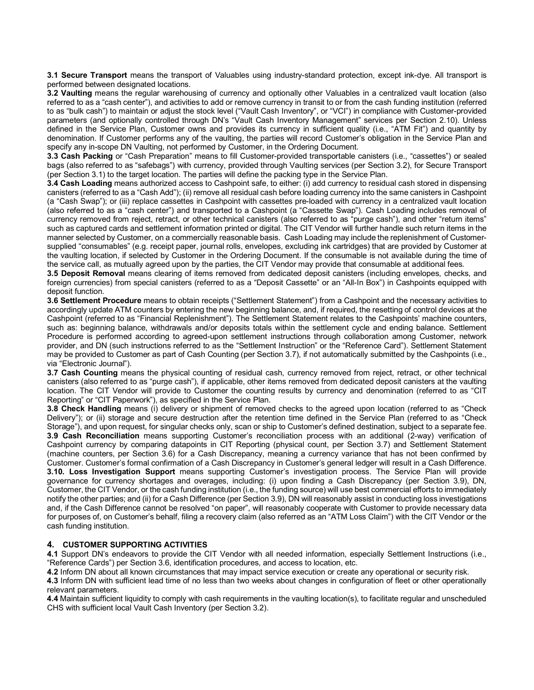**3.1 Secure Transport** means the transport of Valuables using industry-standard protection, except ink-dye. All transport is performed between designated locations.

**3.2 Vaulting** means the regular warehousing of currency and optionally other Valuables in a centralized vault location (also referred to as a "cash center"), and activities to add or remove currency in transit to or from the cash funding institution (referred to as "bulk cash") to maintain or adjust the stock level ("Vault Cash Inventory", or "VCI") in compliance with Customer-provided parameters (and optionally controlled through DN's "Vault Cash Inventory Management" services per Section 2.10). Unless defined in the Service Plan, Customer owns and provides its currency in sufficient quality (i.e., "ATM Fit") and quantity by denomination. If Customer performs any of the vaulting, the parties will record Customer's obligation in the Service Plan and specify any in-scope DN Vaulting, not performed by Customer, in the Ordering Document.

**3.3 Cash Packing** or "Cash Preparation" means to fill Customer-provided transportable canisters (i.e., "cassettes") or sealed bags (also referred to as "safebags") with currency, provided through Vaulting services (per Section 3.2), for Secure Transport (per Section 3.1) to the target location. The parties will define the packing type in the Service Plan.

**3.4 Cash Loading** means authorized access to Cashpoint safe, to either: (i) add currency to residual cash stored in dispensing canisters (referred to as a "Cash Add"); (ii) remove all residual cash before loading currency into the same canisters in Cashpoint (a "Cash Swap"); or (iii) replace cassettes in Cashpoint with cassettes pre-loaded with currency in a centralized vault location (also referred to as a "cash center") and transported to a Cashpoint (a "Cassette Swap"). Cash Loading includes removal of currency removed from reject, retract, or other technical canisters (also referred to as "purge cash"), and other "return items" such as captured cards and settlement information printed or digital. The CIT Vendor will further handle such return items in the manner selected by Customer, on a commercially reasonable basis. Cash Loading may include the replenishment of Customersupplied "consumables" (e.g. receipt paper, journal rolls, envelopes, excluding ink cartridges) that are provided by Customer at the vaulting location, if selected by Customer in the Ordering Document. If the consumable is not available during the time of the service call, as mutually agreed upon by the parties, the CIT Vendor may provide that consumable at additional fees.

**3.5 Deposit Removal** means clearing of items removed from dedicated deposit canisters (including envelopes, checks, and foreign currencies) from special canisters (referred to as a "Deposit Cassette" or an "All-In Box") in Cashpoints equipped with deposit function.

**3.6 Settlement Procedure** means to obtain receipts ("Settlement Statement") from a Cashpoint and the necessary activities to accordingly update ATM counters by entering the new beginning balance, and, if required, the resetting of control devices at the Cashpoint (referred to as "Financial Replenishment"). The Settlement Statement relates to the Cashpoints' machine counters, such as: beginning balance, withdrawals and/or deposits totals within the settlement cycle and ending balance. Settlement Procedure is performed according to agreed-upon settlement instructions through collaboration among Customer, network provider, and DN (such instructions referred to as the "Settlement Instruction" or the "Reference Card"). Settlement Statement may be provided to Customer as part of Cash Counting (per Section 3.7), if not automatically submitted by the Cashpoints (i.e., via "Electronic Journal").

**3.7 Cash Counting** means the physical counting of residual cash, currency removed from reject, retract, or other technical canisters (also referred to as "purge cash"), if applicable, other items removed from dedicated deposit canisters at the vaulting location. The CIT Vendor will provide to Customer the counting results by currency and denomination (referred to as "CIT Reporting" or "CIT Paperwork"), as specified in the Service Plan.

**3.8 Check Handling** means (i) delivery or shipment of removed checks to the agreed upon location (referred to as "Check Delivery"); or (ii) storage and secure destruction after the retention time defined in the Service Plan (referred to as "Check Storage"), and upon request, for singular checks only, scan or ship to Customer's defined destination, subject to a separate fee. **3.9 Cash Reconciliation** means supporting Customer's reconciliation process with an additional (2-way) verification of Cashpoint currency by comparing datapoints in CIT Reporting (physical count, per Section 3.7) and Settlement Statement (machine counters, per Section 3.6) for a Cash Discrepancy, meaning a currency variance that has not been confirmed by Customer. Customer's formal confirmation of a Cash Discrepancy in Customer's general ledger will result in a Cash Difference. **3.10. Loss Investigation Support** means supporting Customer's investigation process. The Service Plan will provide governance for currency shortages and overages, including: (i) upon finding a Cash Discrepancy (per Section 3.9), DN, Customer, the CIT Vendor, or the cash funding institution (i.e., the funding source) will use best commercial efforts to immediately notify the other parties; and (ii) for a Cash Difference (per Section 3.9), DN will reasonably assist in conducting loss investigations and, if the Cash Difference cannot be resolved "on paper", will reasonably cooperate with Customer to provide necessary data for purposes of, on Customer's behalf, filing a recovery claim (also referred as an "ATM Loss Claim") with the CIT Vendor or the cash funding institution.

### **4. CUSTOMER SUPPORTING ACTIVITIES**

**4.1** Support DN's endeavors to provide the CIT Vendor with all needed information, especially Settlement Instructions (i.e., "Reference Cards") per Section 3.6, identification procedures, and access to location, etc.

**4.2** Inform DN about all known circumstances that may impact service execution or create any operational or security risk.

**4.3** Inform DN with sufficient lead time of no less than two weeks about changes in configuration of fleet or other operationally relevant parameters.

**4.4** Maintain sufficient liquidity to comply with cash requirements in the vaulting location(s), to facilitate regular and unscheduled CHS with sufficient local Vault Cash Inventory (per Section 3.2).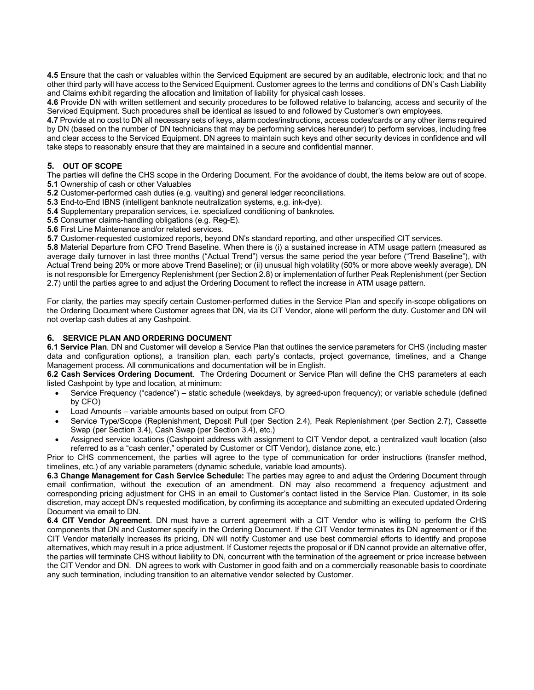**4.5** Ensure that the cash or valuables within the Serviced Equipment are secured by an auditable, electronic lock; and that no other third party will have access to the Serviced Equipment. Customer agrees to the terms and conditions of DN's Cash Liability and Claims exhibit regarding the allocation and limitation of liability for physical cash losses.

**4.6** Provide DN with written settlement and security procedures to be followed relative to balancing, access and security of the Serviced Equipment. Such procedures shall be identical as issued to and followed by Customer's own employees.

**4.7** Provide at no cost to DN all necessary sets of keys, alarm codes/instructions, access codes/cards or any other items required by DN (based on the number of DN technicians that may be performing services hereunder) to perform services, including free and clear access to the Serviced Equipment. DN agrees to maintain such keys and other security devices in confidence and will take steps to reasonably ensure that they are maintained in a secure and confidential manner.

# **5. OUT OF SCOPE**

The parties will define the CHS scope in the Ordering Document. For the avoidance of doubt, the items below are out of scope. **5.1** Ownership of cash or other Valuables

**5.2** Customer-performed cash duties (e.g. vaulting) and general ledger reconciliations.

**5.3** End-to-End IBNS (intelligent banknote neutralization systems, e.g. ink-dye).

**5.4** Supplementary preparation services, i.e. specialized conditioning of banknotes.

**5.5** Consumer claims-handling obligations (e.g. Reg-E).

**5.6** First Line Maintenance and/or related services.

**5.7** Customer-requested customized reports, beyond DN's standard reporting, and other unspecified CIT services.

**5.8** Material Departure from CFO Trend Baseline. When there is (i) a sustained increase in ATM usage pattern (measured as average daily turnover in last three months ("Actual Trend") versus the same period the year before ("Trend Baseline"), with Actual Trend being 20% or more above Trend Baseline); or (ii) unusual high volatility (50% or more above weekly average), DN is not responsible for Emergency Replenishment (per Section 2.8) or implementation of further Peak Replenishment (per Section 2.7) until the parties agree to and adjust the Ordering Document to reflect the increase in ATM usage pattern.

For clarity, the parties may specify certain Customer-performed duties in the Service Plan and specify in-scope obligations on the Ordering Document where Customer agrees that DN, via its CIT Vendor, alone will perform the duty. Customer and DN will not overlap cash duties at any Cashpoint.

# **6. SERVICE PLAN AND ORDERING DOCUMENT**

**6.1 Service Plan**. DN and Customer will develop a Service Plan that outlines the service parameters for CHS (including master data and configuration options), a transition plan, each party's contacts, project governance, timelines, and a Change Management process. All communications and documentation will be in English.

**6.2 Cash Services Ordering Document**. The Ordering Document or Service Plan will define the CHS parameters at each listed Cashpoint by type and location, at minimum:

- Service Frequency ("cadence") static schedule (weekdays, by agreed-upon frequency); or variable schedule (defined by CFO)
- Load Amounts variable amounts based on output from CFO
- Service Type/Scope (Replenishment, Deposit Pull (per Section 2.4), Peak Replenishment (per Section 2.7), Cassette Swap (per Section 3.4), Cash Swap (per Section 3.4), etc.)
- Assigned service locations (Cashpoint address with assignment to CIT Vendor depot, a centralized vault location (also referred to as a "cash center," operated by Customer or CIT Vendor), distance zone, etc.)

Prior to CHS commencement, the parties will agree to the type of communication for order instructions (transfer method, timelines, etc.) of any variable parameters (dynamic schedule, variable load amounts).

**6.3 Change Management for Cash Service Schedule:** The parties may agree to and adjust the Ordering Document through email confirmation, without the execution of an amendment. DN may also recommend a frequency adjustment and corresponding pricing adjustment for CHS in an email to Customer's contact listed in the Service Plan. Customer, in its sole discretion, may accept DN's requested modification, by confirming its acceptance and submitting an executed updated Ordering Document via email to DN.

**6.4 CIT Vendor Agreement**. DN must have a current agreement with a CIT Vendor who is willing to perform the CHS components that DN and Customer specify in the Ordering Document. If the CIT Vendor terminates its DN agreement or if the CIT Vendor materially increases its pricing, DN will notify Customer and use best commercial efforts to identify and propose alternatives, which may result in a price adjustment. If Customer rejects the proposal or if DN cannot provide an alternative offer, the parties will terminate CHS without liability to DN, concurrent with the termination of the agreement or price increase between the CIT Vendor and DN. DN agrees to work with Customer in good faith and on a commercially reasonable basis to coordinate any such termination, including transition to an alternative vendor selected by Customer.